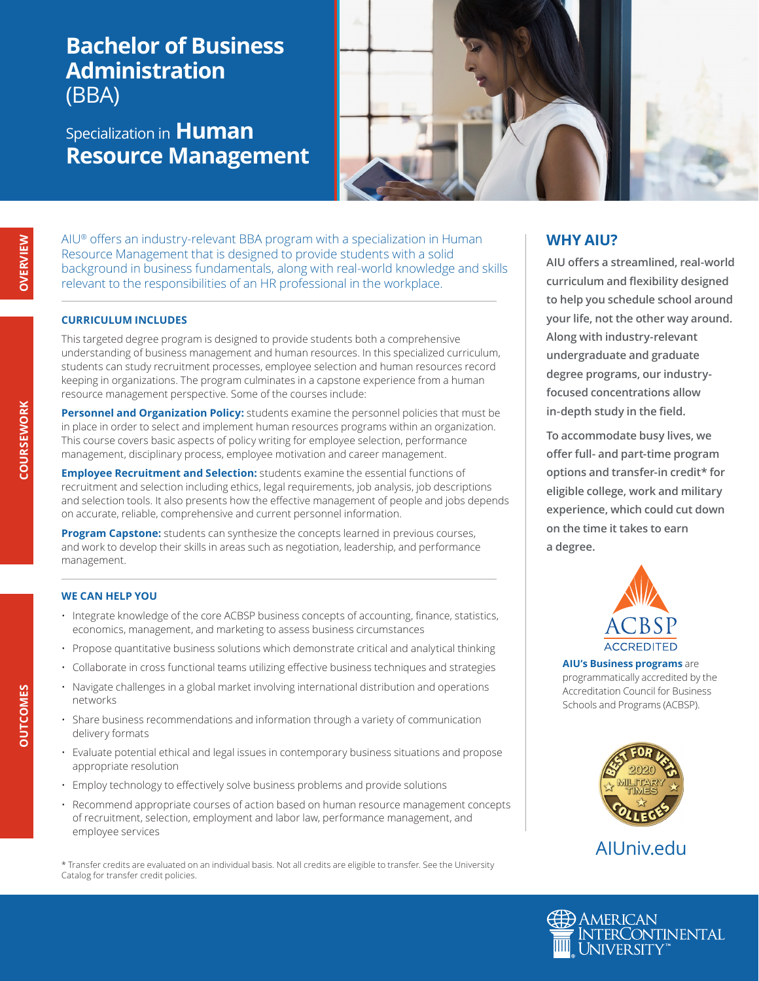# **Bachelor of Business Administration**  (BBA)

# Specialization in **Human Resource Management**



AIU® offers an industry-relevant BBA program with a specialization in Human Resource Management that is designed to provide students with a solid background in business fundamentals, along with real-world knowledge and skills relevant to the responsibilities of an HR professional in the workplace.

#### **CURRICULUM INCLUDES**

This targeted degree program is designed to provide students both a comprehensive understanding of business management and human resources. In this specialized curriculum, students can study recruitment processes, employee selection and human resources record keeping in organizations. The program culminates in a capstone experience from a human resource management perspective. Some of the courses include:

**Personnel and Organization Policy:** students examine the personnel policies that must be in place in order to select and implement human resources programs within an organization. This course covers basic aspects of policy writing for employee selection, performance management, disciplinary process, employee motivation and career management.

**Employee Recruitment and Selection:** students examine the essential functions of recruitment and selection including ethics, legal requirements, job analysis, job descriptions and selection tools. It also presents how the effective management of people and jobs depends on accurate, reliable, comprehensive and current personnel information.

**Program Capstone:** students can synthesize the concepts learned in previous courses, and work to develop their skills in areas such as negotiation, leadership, and performance management.

#### **WE CAN HELP YOU**

- Integrate knowledge of the core ACBSP business concepts of accounting, finance, statistics, economics, management, and marketing to assess business circumstances
- Propose quantitative business solutions which demonstrate critical and analytical thinking
- Collaborate in cross functional teams utilizing effective business techniques and strategies
- Navigate challenges in a global market involving international distribution and operations networks
- Share business recommendations and information through a variety of communication delivery formats
- Evaluate potential ethical and legal issues in contemporary business situations and propose appropriate resolution
- Employ technology to effectively solve business problems and provide solutions
- Recommend appropriate courses of action based on human resource management concepts of recruitment, selection, employment and labor law, performance management, and employee services

\* Transfer credits are evaluated on an individual basis. Not all credits are eligible to transfer. See the University Catalog for transfer credit policies.

### **WHY AIU?**

**AIU offers a streamlined, real-world curriculum and flexibility designed to help you schedule school around your life, not the other way around. Along with industry-relevant undergraduate and graduate degree programs, our industryfocused concentrations allow in-depth study in the field.**

**To accommodate busy lives, we offer full- and part-time program options and transfer-in credit\* for eligible college, work and military experience, which could cut down on the time it takes to earn a degree.**



**AIU's Business programs** are programmatically accredited by the Accreditation Council for Business Schools and Programs (ACBSP).